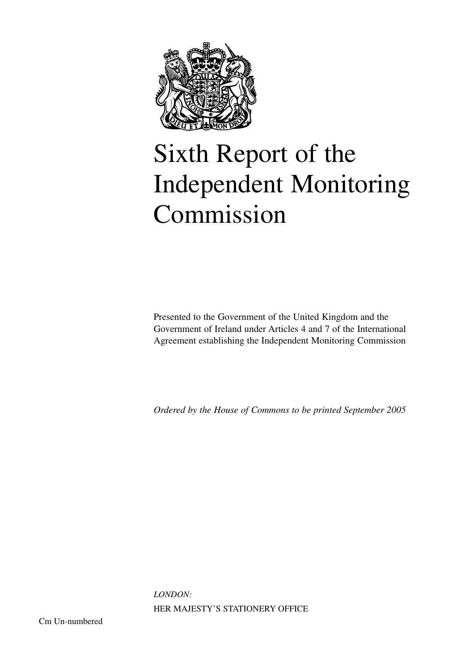

# Sixth Report of the Independent Monitoring Commission

Presented to the Government of the United Kingdom and the Government of Ireland under Articles 4 and 7 of the International Agreement establishing the Independent Monitoring Commission

*Ordered by the House of Commons to be printed September 2005*

*LONDON:*  HER MAJESTY'S STATIONERY OFFICE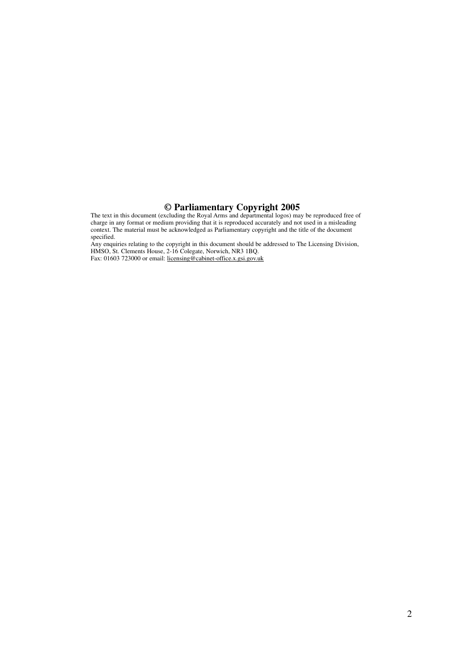#### **© Parliamentary Copyright 2005**

The text in this document (excluding the Royal Arms and departmental logos) may be reproduced free of charge in any format or medium providing that it is reproduced accurately and not used in a misleading context. The material must be acknowledged as Parliamentary copyright and the title of the document specified.

Any enquiries relating to the copyright in this document should be addressed to The Licensing Division, HMSO, St. Clements House, 2-16 Colegate, Norwich, NR3 1BQ. Fax: 01603 723000 or email: licensing@cabinet-office.x.gsi.gov.uk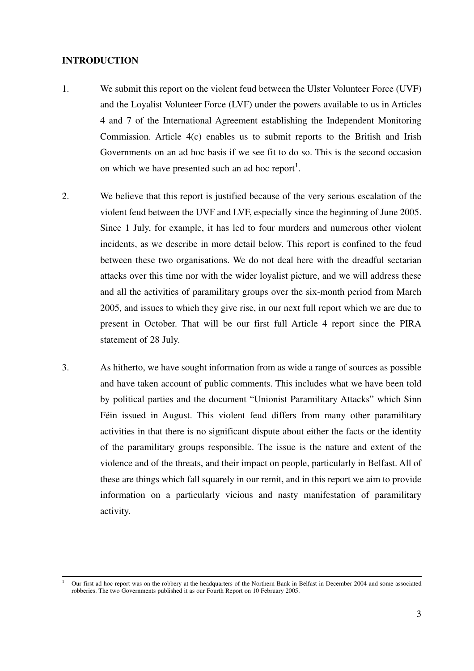#### **INTRODUCTION**

- 1. We submit this report on the violent feud between the Ulster Volunteer Force (UVF) and the Loyalist Volunteer Force (LVF) under the powers available to us in Articles 4 and 7 of the International Agreement establishing the Independent Monitoring Commission. Article 4(c) enables us to submit reports to the British and Irish Governments on an ad hoc basis if we see fit to do so. This is the second occasion on which we have presented such an ad hoc report<sup>1</sup>.
- 2. We believe that this report is justified because of the very serious escalation of the violent feud between the UVF and LVF, especially since the beginning of June 2005. Since 1 July, for example, it has led to four murders and numerous other violent incidents, as we describe in more detail below. This report is confined to the feud between these two organisations. We do not deal here with the dreadful sectarian attacks over this time nor with the wider loyalist picture, and we will address these and all the activities of paramilitary groups over the six-month period from March 2005, and issues to which they give rise, in our next full report which we are due to present in October. That will be our first full Article 4 report since the PIRA statement of 28 July.
- 3. As hitherto, we have sought information from as wide a range of sources as possible and have taken account of public comments. This includes what we have been told by political parties and the document "Unionist Paramilitary Attacks" which Sinn Féin issued in August. This violent feud differs from many other paramilitary activities in that there is no significant dispute about either the facts or the identity of the paramilitary groups responsible. The issue is the nature and extent of the violence and of the threats, and their impact on people, particularly in Belfast. All of these are things which fall squarely in our remit, and in this report we aim to provide information on a particularly vicious and nasty manifestation of paramilitary activity.

<sup>1</sup> Our first ad hoc report was on the robbery at the headquarters of the Northern Bank in Belfast in December 2004 and some associated robberies. The two Governments published it as our Fourth Report on 10 February 2005.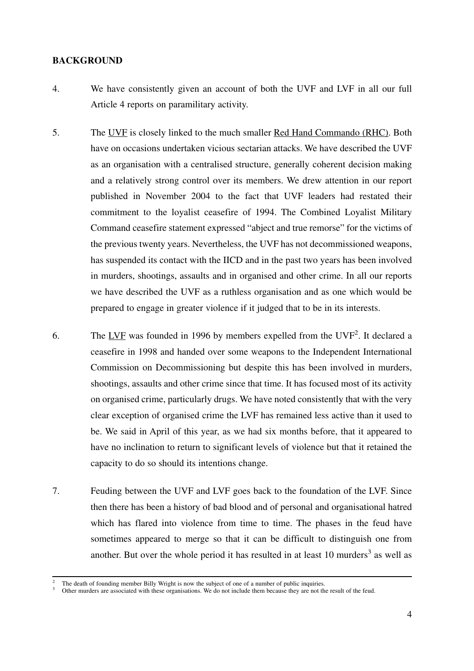#### **BACKGROUND**

- 4. We have consistently given an account of both the UVF and LVF in all our full Article 4 reports on paramilitary activity.
- 5. The UVF is closely linked to the much smaller Red Hand Commando (RHC). Both have on occasions undertaken vicious sectarian attacks. We have described the UVF as an organisation with a centralised structure, generally coherent decision making and a relatively strong control over its members. We drew attention in our report published in November 2004 to the fact that UVF leaders had restated their commitment to the loyalist ceasefire of 1994. The Combined Loyalist Military Command ceasefire statement expressed "abject and true remorse" for the victims of the previous twenty years. Nevertheless, the UVF has not decommissioned weapons, has suspended its contact with the IICD and in the past two years has been involved in murders, shootings, assaults and in organised and other crime. In all our reports we have described the UVF as a ruthless organisation and as one which would be prepared to engage in greater violence if it judged that to be in its interests.
- 6. The  $LVF$  was founded in 1996 by members expelled from the  $UVF<sup>2</sup>$ . It declared a ceasefire in 1998 and handed over some weapons to the Independent International Commission on Decommissioning but despite this has been involved in murders, shootings, assaults and other crime since that time. It has focused most of its activity on organised crime, particularly drugs. We have noted consistently that with the very clear exception of organised crime the LVF has remained less active than it used to be. We said in April of this year, as we had six months before, that it appeared to have no inclination to return to significant levels of violence but that it retained the capacity to do so should its intentions change.
- 7. Feuding between the UVF and LVF goes back to the foundation of the LVF. Since then there has been a history of bad blood and of personal and organisational hatred which has flared into violence from time to time. The phases in the feud have sometimes appeared to merge so that it can be difficult to distinguish one from another. But over the whole period it has resulted in at least  $10 \text{ murders}^3$  as well as

 $\frac{2}{3}$  The death of founding member Billy Wright is now the subject of one of a number of public inquiries.<br>3 Other murders are associated with these organisations. We do not include them because they are not the resul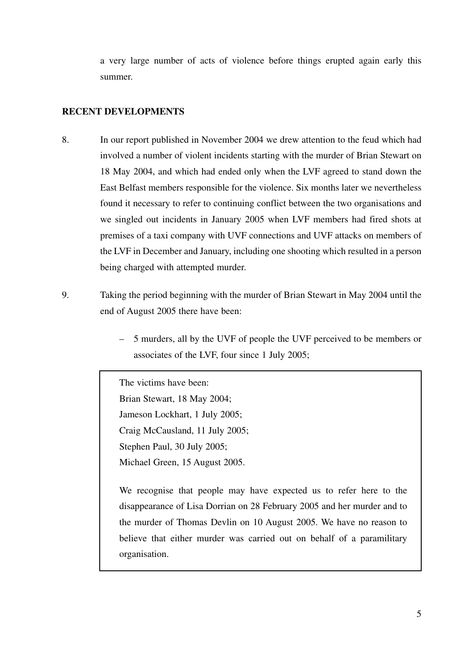a very large number of acts of violence before things erupted again early this summer.

## **RECENT DEVELOPMENTS**

- 8. In our report published in November 2004 we drew attention to the feud which had involved a number of violent incidents starting with the murder of Brian Stewart on 18 May 2004, and which had ended only when the LVF agreed to stand down the East Belfast members responsible for the violence. Six months later we nevertheless found it necessary to refer to continuing conflict between the two organisations and we singled out incidents in January 2005 when LVF members had fired shots at premises of a taxi company with UVF connections and UVF attacks on members of the LVF in December and January, including one shooting which resulted in a person being charged with attempted murder.
- 9. Taking the period beginning with the murder of Brian Stewart in May 2004 until the end of August 2005 there have been:
	- 5 murders, all by the UVF of people the UVF perceived to be members or associates of the LVF, four since 1 July 2005;

The victims have been: Brian Stewart, 18 May 2004; Jameson Lockhart, 1 July 2005; Craig McCausland, 11 July 2005; Stephen Paul, 30 July 2005; Michael Green, 15 August 2005.

We recognise that people may have expected us to refer here to the disappearance of Lisa Dorrian on 28 February 2005 and her murder and to the murder of Thomas Devlin on 10 August 2005. We have no reason to believe that either murder was carried out on behalf of a paramilitary organisation.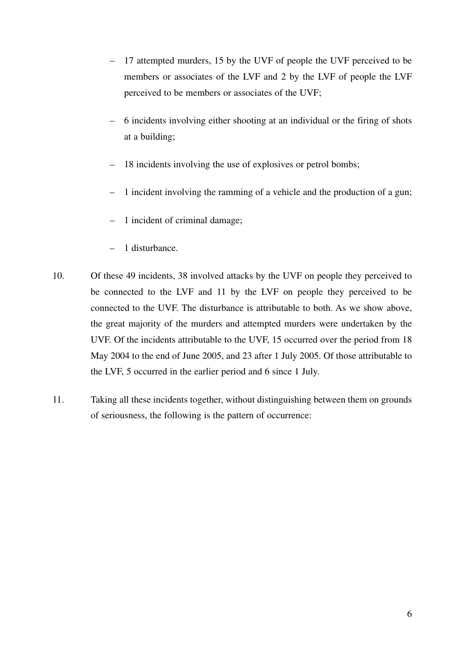- 17 attempted murders, 15 by the UVF of people the UVF perceived to be members or associates of the LVF and 2 by the LVF of people the LVF perceived to be members or associates of the UVF;
- 6 incidents involving either shooting at an individual or the firing of shots at a building;
- 18 incidents involving the use of explosives or petrol bombs;
- 1 incident involving the ramming of a vehicle and the production of a gun;
- 1 incident of criminal damage;
- 1 disturbance.
- 10. Of these 49 incidents, 38 involved attacks by the UVF on people they perceived to be connected to the LVF and 11 by the LVF on people they perceived to be connected to the UVF. The disturbance is attributable to both. As we show above, the great majority of the murders and attempted murders were undertaken by the UVF. Of the incidents attributable to the UVF, 15 occurred over the period from 18 May 2004 to the end of June 2005, and 23 after 1 July 2005. Of those attributable to the LVF, 5 occurred in the earlier period and 6 since 1 July.
- 11. Taking all these incidents together, without distinguishing between them on grounds of seriousness, the following is the pattern of occurrence: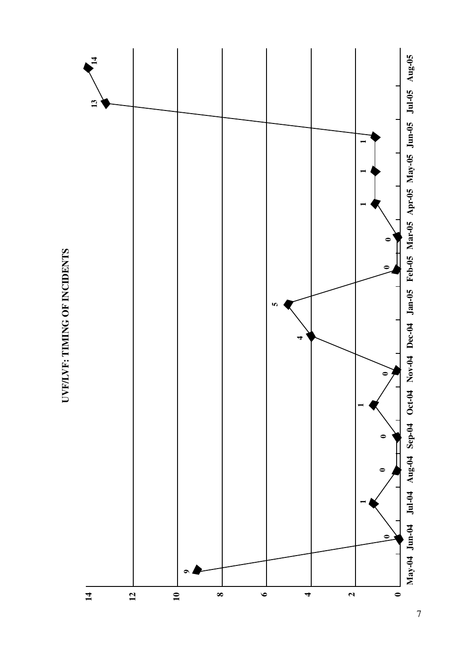

UVF/LVF: TIMING OF INCIDENTS **UVF/LVF: TIMING OF INCIDENTS**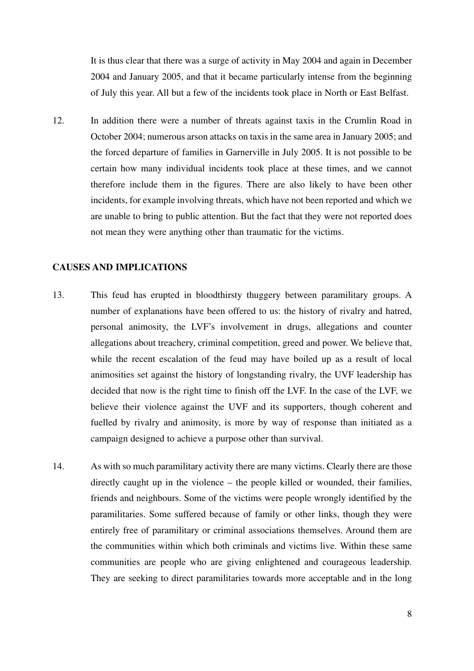It is thus clear that there was a surge of activity in May 2004 and again in December 2004 and January 2005, and that it became particularly intense from the beginning of July this year. All but a few of the incidents took place in North or East Belfast.

12. In addition there were a number of threats against taxis in the Crumlin Road in October 2004; numerous arson attacks on taxis in the same area in January 2005; and the forced departure of families in Garnerville in July 2005. It is not possible to be certain how many individual incidents took place at these times, and we cannot therefore include them in the figures. There are also likely to have been other incidents, for example involving threats, which have not been reported and which we are unable to bring to public attention. But the fact that they were not reported does not mean they were anything other than traumatic for the victims.

### **CAUSES AND IMPLICATIONS**

- 13. This feud has erupted in bloodthirsty thuggery between paramilitary groups. A number of explanations have been offered to us: the history of rivalry and hatred, personal animosity, the LVF's involvement in drugs, allegations and counter allegations about treachery, criminal competition, greed and power. We believe that, while the recent escalation of the feud may have boiled up as a result of local animosities set against the history of longstanding rivalry, the UVF leadership has decided that now is the right time to finish off the LVF. In the case of the LVF, we believe their violence against the UVF and its supporters, though coherent and fuelled by rivalry and animosity, is more by way of response than initiated as a campaign designed to achieve a purpose other than survival.
- 14. As with so much paramilitary activity there are many victims. Clearly there are those directly caught up in the violence – the people killed or wounded, their families, friends and neighbours. Some of the victims were people wrongly identified by the paramilitaries. Some suffered because of family or other links, though they were entirely free of paramilitary or criminal associations themselves. Around them are the communities within which both criminals and victims live. Within these same communities are people who are giving enlightened and courageous leadership. They are seeking to direct paramilitaries towards more acceptable and in the long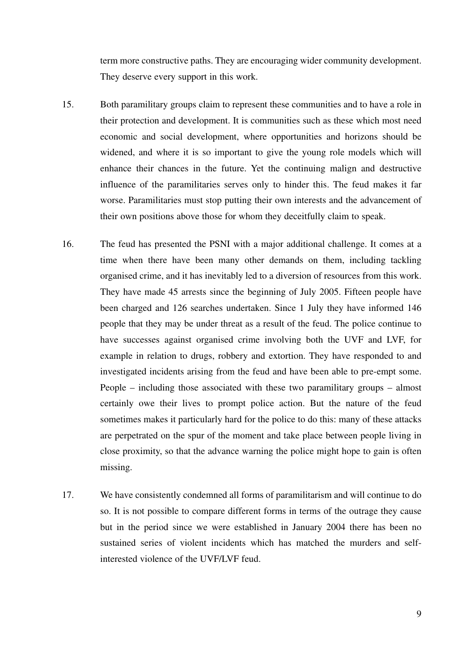term more constructive paths. They are encouraging wider community development. They deserve every support in this work.

- 15. Both paramilitary groups claim to represent these communities and to have a role in their protection and development. It is communities such as these which most need economic and social development, where opportunities and horizons should be widened, and where it is so important to give the young role models which will enhance their chances in the future. Yet the continuing malign and destructive influence of the paramilitaries serves only to hinder this. The feud makes it far worse. Paramilitaries must stop putting their own interests and the advancement of their own positions above those for whom they deceitfully claim to speak.
- 16. The feud has presented the PSNI with a major additional challenge. It comes at a time when there have been many other demands on them, including tackling organised crime, and it has inevitably led to a diversion of resources from this work. They have made 45 arrests since the beginning of July 2005. Fifteen people have been charged and 126 searches undertaken. Since 1 July they have informed 146 people that they may be under threat as a result of the feud. The police continue to have successes against organised crime involving both the UVF and LVF, for example in relation to drugs, robbery and extortion. They have responded to and investigated incidents arising from the feud and have been able to pre-empt some. People – including those associated with these two paramilitary groups – almost certainly owe their lives to prompt police action. But the nature of the feud sometimes makes it particularly hard for the police to do this: many of these attacks are perpetrated on the spur of the moment and take place between people living in close proximity, so that the advance warning the police might hope to gain is often missing.
- 17. We have consistently condemned all forms of paramilitarism and will continue to do so. It is not possible to compare different forms in terms of the outrage they cause but in the period since we were established in January 2004 there has been no sustained series of violent incidents which has matched the murders and selfinterested violence of the UVF/LVF feud.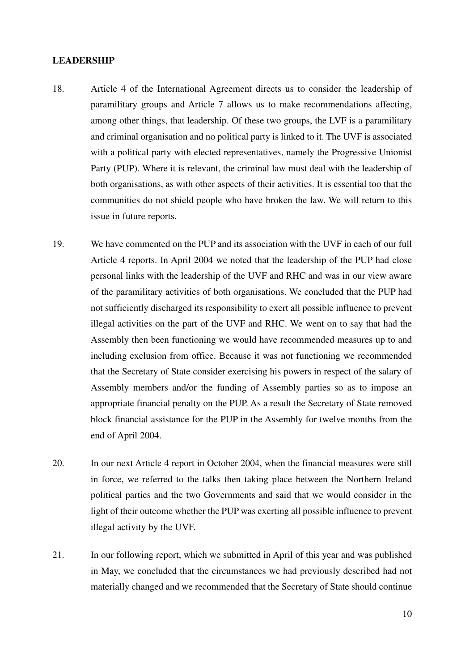#### **LEADERSHIP**

- 18. Article 4 of the International Agreement directs us to consider the leadership of paramilitary groups and Article 7 allows us to make recommendations affecting, among other things, that leadership. Of these two groups, the LVF is a paramilitary and criminal organisation and no political party is linked to it. The UVF is associated with a political party with elected representatives, namely the Progressive Unionist Party (PUP). Where it is relevant, the criminal law must deal with the leadership of both organisations, as with other aspects of their activities. It is essential too that the communities do not shield people who have broken the law. We will return to this issue in future reports.
- 19. We have commented on the PUP and its association with the UVF in each of our full Article 4 reports. In April 2004 we noted that the leadership of the PUP had close personal links with the leadership of the UVF and RHC and was in our view aware of the paramilitary activities of both organisations. We concluded that the PUP had not sufficiently discharged its responsibility to exert all possible influence to prevent illegal activities on the part of the UVF and RHC. We went on to say that had the Assembly then been functioning we would have recommended measures up to and including exclusion from office. Because it was not functioning we recommended that the Secretary of State consider exercising his powers in respect of the salary of Assembly members and/or the funding of Assembly parties so as to impose an appropriate financial penalty on the PUP. As a result the Secretary of State removed block financial assistance for the PUP in the Assembly for twelve months from the end of April 2004.
- 20. In our next Article 4 report in October 2004, when the financial measures were still in force, we referred to the talks then taking place between the Northern Ireland political parties and the two Governments and said that we would consider in the light of their outcome whether the PUP was exerting all possible influence to prevent illegal activity by the UVF.
- 21. In our following report, which we submitted in April of this year and was published in May, we concluded that the circumstances we had previously described had not materially changed and we recommended that the Secretary of State should continue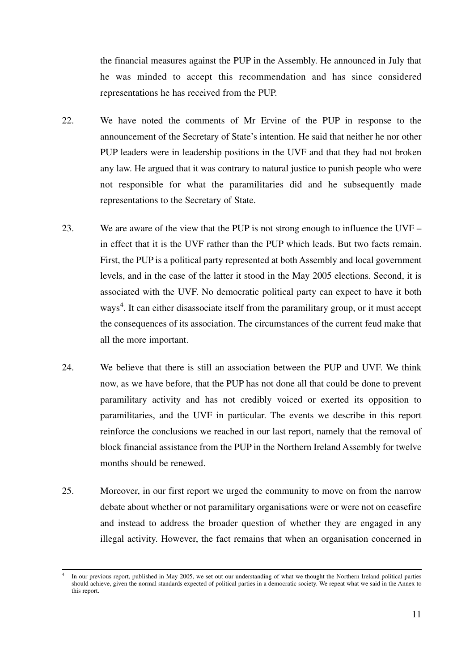the financial measures against the PUP in the Assembly. He announced in July that he was minded to accept this recommendation and has since considered representations he has received from the PUP.

- 22. We have noted the comments of Mr Ervine of the PUP in response to the announcement of the Secretary of State's intention. He said that neither he nor other PUP leaders were in leadership positions in the UVF and that they had not broken any law. He argued that it was contrary to natural justice to punish people who were not responsible for what the paramilitaries did and he subsequently made representations to the Secretary of State.
- 23. We are aware of the view that the PUP is not strong enough to influence the UVF in effect that it is the UVF rather than the PUP which leads. But two facts remain. First, the PUP is a political party represented at both Assembly and local government levels, and in the case of the latter it stood in the May 2005 elections. Second, it is associated with the UVF. No democratic political party can expect to have it both ways<sup>4</sup>. It can either disassociate itself from the paramilitary group, or it must accept the consequences of its association. The circumstances of the current feud make that all the more important.
- 24. We believe that there is still an association between the PUP and UVF. We think now, as we have before, that the PUP has not done all that could be done to prevent paramilitary activity and has not credibly voiced or exerted its opposition to paramilitaries, and the UVF in particular. The events we describe in this report reinforce the conclusions we reached in our last report, namely that the removal of block financial assistance from the PUP in the Northern Ireland Assembly for twelve months should be renewed.
- 25. Moreover, in our first report we urged the community to move on from the narrow debate about whether or not paramilitary organisations were or were not on ceasefire and instead to address the broader question of whether they are engaged in any illegal activity. However, the fact remains that when an organisation concerned in

<sup>4</sup> In our previous report, published in May 2005, we set out our understanding of what we thought the Northern Ireland political parties should achieve, given the normal standards expected of political parties in a democratic society. We repeat what we said in the Annex to this report.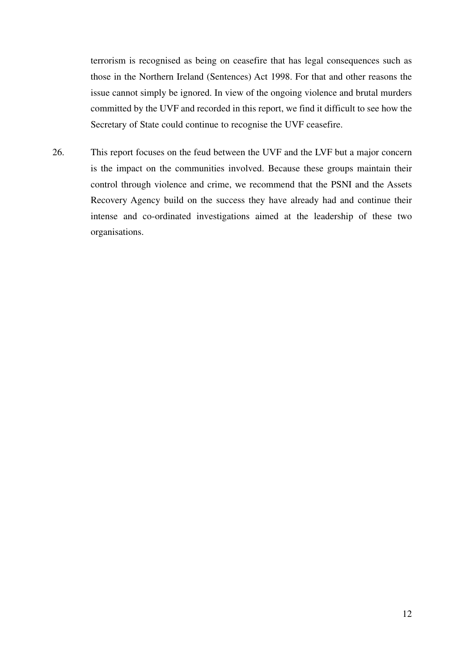terrorism is recognised as being on ceasefire that has legal consequences such as those in the Northern Ireland (Sentences) Act 1998. For that and other reasons the issue cannot simply be ignored. In view of the ongoing violence and brutal murders committed by the UVF and recorded in this report, we find it difficult to see how the Secretary of State could continue to recognise the UVF ceasefire.

26. This report focuses on the feud between the UVF and the LVF but a major concern is the impact on the communities involved. Because these groups maintain their control through violence and crime, we recommend that the PSNI and the Assets Recovery Agency build on the success they have already had and continue their intense and co-ordinated investigations aimed at the leadership of these two organisations.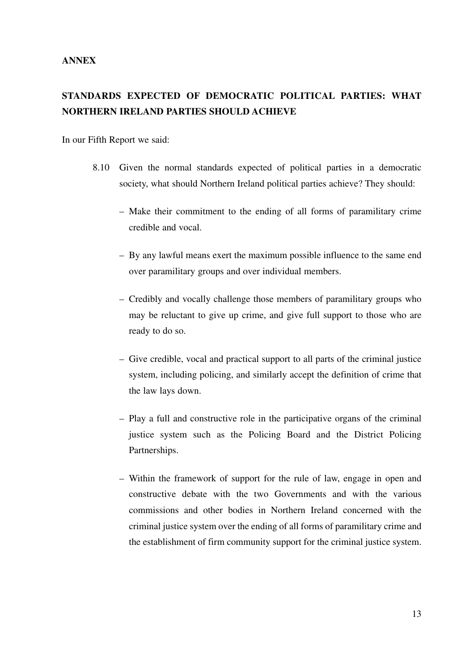### **ANNEX**

# **STANDARDS EXPECTED OF DEMOCRATIC POLITICAL PARTIES: WHAT NORTHERN IRELAND PARTIES SHOULD ACHIEVE**

In our Fifth Report we said:

- 8.10 Given the normal standards expected of political parties in a democratic society, what should Northern Ireland political parties achieve? They should:
	- Make their commitment to the ending of all forms of paramilitary crime credible and vocal.
	- By any lawful means exert the maximum possible influence to the same end over paramilitary groups and over individual members.
	- Credibly and vocally challenge those members of paramilitary groups who may be reluctant to give up crime, and give full support to those who are ready to do so.
	- Give credible, vocal and practical support to all parts of the criminal justice system, including policing, and similarly accept the definition of crime that the law lays down.
	- Play a full and constructive role in the participative organs of the criminal justice system such as the Policing Board and the District Policing Partnerships.
	- Within the framework of support for the rule of law, engage in open and constructive debate with the two Governments and with the various commissions and other bodies in Northern Ireland concerned with the criminal justice system over the ending of all forms of paramilitary crime and the establishment of firm community support for the criminal justice system.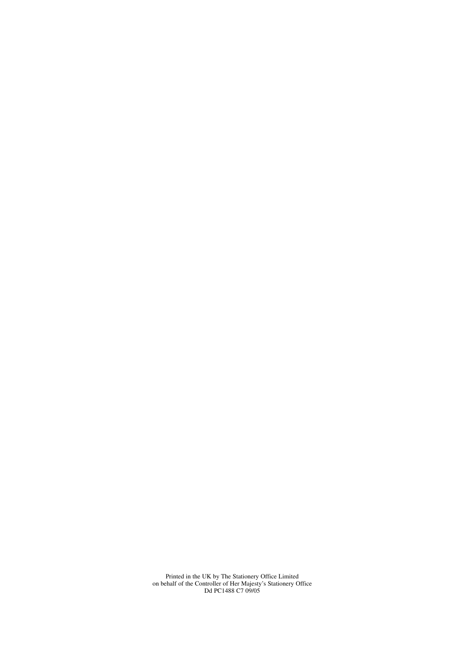Printed in the UK by The Stationery Office Limited on behalf of the Controller of Her Majesty's Stationery Office Dd PC1488 C7 09/05